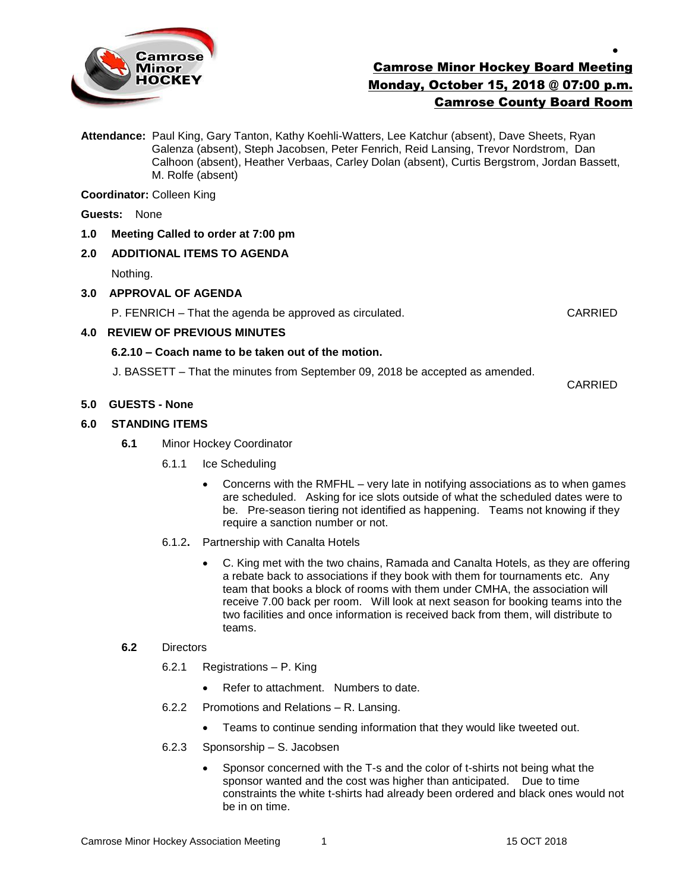

# Camrose Minor Hockey Board Meeting Monday, October 15, 2018 @ 07:00 p.m. Camrose County Board Room

**Attendance:** Paul King, Gary Tanton, Kathy Koehli-Watters, Lee Katchur (absent), Dave Sheets, Ryan Galenza (absent), Steph Jacobsen, Peter Fenrich, Reid Lansing, Trevor Nordstrom, Dan Calhoon (absent), Heather Verbaas, Carley Dolan (absent), Curtis Bergstrom, Jordan Bassett, M. Rolfe (absent)

**Coordinator:** Colleen King

**Guests:** None

**1.0 Meeting Called to order at 7:00 pm**

# **2.0 ADDITIONAL ITEMS TO AGENDA**

Nothing.

## **3.0 APPROVAL OF AGENDA**

P. FENRICH – That the agenda be approved as circulated. CARRIED

 $\bullet$ 

# **4.0 REVIEW OF PREVIOUS MINUTES**

## **6.2.10 – Coach name to be taken out of the motion.**

J. BASSETT – That the minutes from September 09, 2018 be accepted as amended.

CARRIED

## **5.0 GUESTS - None**

## **6.0 STANDING ITEMS**

- **6.1** Minor Hockey Coordinator
	- 6.1.1 Ice Scheduling
		- Concerns with the RMFHL very late in notifying associations as to when games are scheduled. Asking for ice slots outside of what the scheduled dates were to be. Pre-season tiering not identified as happening. Teams not knowing if they require a sanction number or not.
	- 6.1.2**.** Partnership with Canalta Hotels
		- C. King met with the two chains, Ramada and Canalta Hotels, as they are offering a rebate back to associations if they book with them for tournaments etc. Any team that books a block of rooms with them under CMHA, the association will receive 7.00 back per room. Will look at next season for booking teams into the two facilities and once information is received back from them, will distribute to teams.

#### **6.2** Directors

- 6.2.1 Registrations P. King
	- Refer to attachment. Numbers to date.
- 6.2.2 Promotions and Relations R. Lansing.
	- Teams to continue sending information that they would like tweeted out.
- 6.2.3 Sponsorship S. Jacobsen
	- Sponsor concerned with the T-s and the color of t-shirts not being what the sponsor wanted and the cost was higher than anticipated. Due to time constraints the white t-shirts had already been ordered and black ones would not be in on time.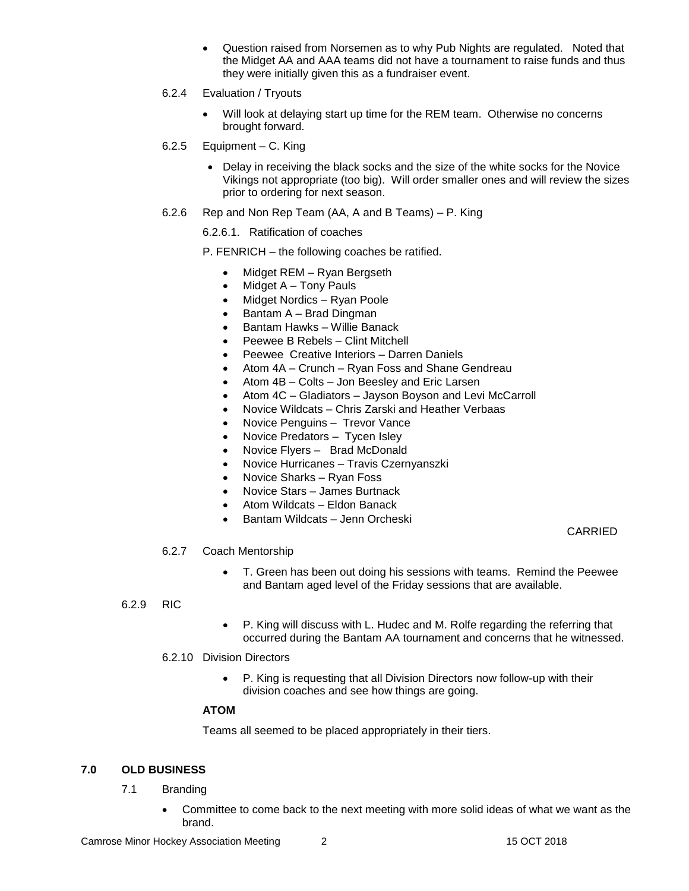- Question raised from Norsemen as to why Pub Nights are regulated. Noted that the Midget AA and AAA teams did not have a tournament to raise funds and thus they were initially given this as a fundraiser event.
- 6.2.4 Evaluation / Tryouts
	- Will look at delaying start up time for the REM team. Otherwise no concerns brought forward.
- 6.2.5 Equipment C. King
	- Delay in receiving the black socks and the size of the white socks for the Novice Vikings not appropriate (too big). Will order smaller ones and will review the sizes prior to ordering for next season.
- 6.2.6 Rep and Non Rep Team (AA, A and B Teams) P. King

## 6.2.6.1. Ratification of coaches

P. FENRICH – the following coaches be ratified.

- Midget REM Ryan Bergseth
- $\bullet$  Midget A Tony Pauls
- Midget Nordics Ryan Poole
- Bantam A Brad Dingman
- Bantam Hawks Willie Banack
- Peewee B Rebels Clint Mitchell
- Peewee Creative Interiors Darren Daniels
- Atom 4A Crunch Ryan Foss and Shane Gendreau
- Atom 4B Colts Jon Beesley and Eric Larsen
- Atom 4C Gladiators Jayson Boyson and Levi McCarroll
- Novice Wildcats Chris Zarski and Heather Verbaas
- Novice Penguins Trevor Vance
- Novice Predators Tycen Isley
- Novice Flyers Brad McDonald
- Novice Hurricanes Travis Czernyanszki
- Novice Sharks Ryan Foss
- Novice Stars James Burtnack
- Atom Wildcats Eldon Banack
- Bantam Wildcats Jenn Orcheski

CARRIED

#### 6.2.7 Coach Mentorship

 T. Green has been out doing his sessions with teams. Remind the Peewee and Bantam aged level of the Friday sessions that are available.

#### 6.2.9 RIC

 P. King will discuss with L. Hudec and M. Rolfe regarding the referring that occurred during the Bantam AA tournament and concerns that he witnessed.

#### 6.2.10 Division Directors

 P. King is requesting that all Division Directors now follow-up with their division coaches and see how things are going.

# **ATOM**

Teams all seemed to be placed appropriately in their tiers.

#### **7.0 OLD BUSINESS**

- 7.1 Branding
	- Committee to come back to the next meeting with more solid ideas of what we want as the brand.